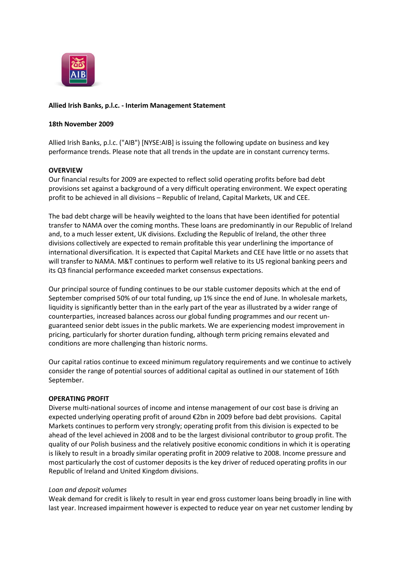

# **Allied Irish Banks, p.l.c. - Interim Management Statement**

## **18th November 2009**

Allied Irish Banks, p.l.c. ("AIB") [NYSE:AIB] is issuing the following update on business and key performance trends. Please note that all trends in the update are in constant currency terms.

## **OVERVIEW**

Our financial results for 2009 are expected to reflect solid operating profits before bad debt provisions set against a background of a very difficult operating environment. We expect operating profit to be achieved in all divisions – Republic of Ireland, Capital Markets, UK and CEE.

The bad debt charge will be heavily weighted to the loans that have been identified for potential transfer to NAMA over the coming months. These loans are predominantly in our Republic of Ireland and, to a much lesser extent, UK divisions. Excluding the Republic of Ireland, the other three divisions collectively are expected to remain profitable this year underlining the importance of international diversification. It is expected that Capital Markets and CEE have little or no assets that will transfer to NAMA. M&T continues to perform well relative to its US regional banking peers and its Q3 financial performance exceeded market consensus expectations.

Our principal source of funding continues to be our stable customer deposits which at the end of September comprised 50% of our total funding, up 1% since the end of June. In wholesale markets, liquidity is significantly better than in the early part of the year as illustrated by a wider range of counterparties, increased balances across our global funding programmes and our recent unguaranteed senior debt issues in the public markets. We are experiencing modest improvement in pricing, particularly for shorter duration funding, although term pricing remains elevated and conditions are more challenging than historic norms.

Our capital ratios continue to exceed minimum regulatory requirements and we continue to actively consider the range of potential sources of additional capital as outlined in our statement of 16th September.

# **OPERATING PROFIT**

Diverse multi-national sources of income and intense management of our cost base is driving an expected underlying operating profit of around €2bn in 2009 before bad debt provisions. Capital Markets continues to perform very strongly; operating profit from this division is expected to be ahead of the level achieved in 2008 and to be the largest divisional contributor to group profit. The quality of our Polish business and the relatively positive economic conditions in which it is operating is likely to result in a broadly similar operating profit in 2009 relative to 2008. Income pressure and most particularly the cost of customer deposits is the key driver of reduced operating profits in our Republic of Ireland and United Kingdom divisions.

#### *Loan and deposit volumes*

Weak demand for credit is likely to result in year end gross customer loans being broadly in line with last year. Increased impairment however is expected to reduce year on year net customer lending by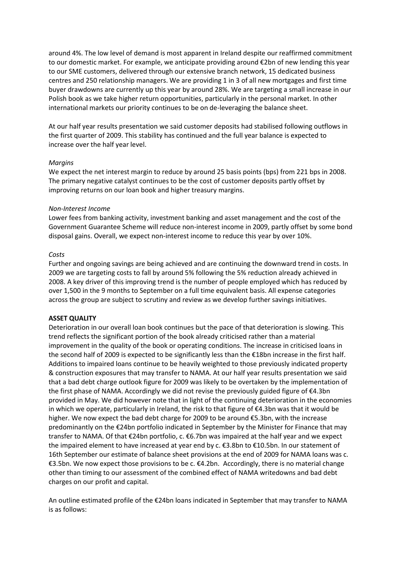around 4%. The low level of demand is most apparent in Ireland despite our reaffirmed commitment to our domestic market. For example, we anticipate providing around €2bn of new lending this year to our SME customers, delivered through our extensive branch network, 15 dedicated business centres and 250 relationship managers. We are providing 1 in 3 of all new mortgages and first time buyer drawdowns are currently up this year by around 28%. We are targeting a small increase in our Polish book as we take higher return opportunities, particularly in the personal market. In other international markets our priority continues to be on de-leveraging the balance sheet.

At our half year results presentation we said customer deposits had stabilised following outflows in the first quarter of 2009. This stability has continued and the full year balance is expected to increase over the half year level.

# *Margins*

We expect the net interest margin to reduce by around 25 basis points (bps) from 221 bps in 2008. The primary negative catalyst continues to be the cost of customer deposits partly offset by improving returns on our loan book and higher treasury margins.

## *Non-Interest Income*

Lower fees from banking activity, investment banking and asset management and the cost of the Government Guarantee Scheme will reduce non-interest income in 2009, partly offset by some bond disposal gains. Overall, we expect non-interest income to reduce this year by over 10%.

## *Costs*

Further and ongoing savings are being achieved and are continuing the downward trend in costs. In 2009 we are targeting costs to fall by around 5% following the 5% reduction already achieved in 2008. A key driver of this improving trend is the number of people employed which has reduced by over 1,500 in the 9 months to September on a full time equivalent basis. All expense categories across the group are subject to scrutiny and review as we develop further savings initiatives.

# **ASSET QUALITY**

Deterioration in our overall loan book continues but the pace of that deterioration is slowing. This trend reflects the significant portion of the book already criticised rather than a material improvement in the quality of the book or operating conditions. The increase in criticised loans in the second half of 2009 is expected to be significantly less than the €18bn increase in the first half. Additions to impaired loans continue to be heavily weighted to those previously indicated property & construction exposures that may transfer to NAMA. At our half year results presentation we said that a bad debt charge outlook figure for 2009 was likely to be overtaken by the implementation of the first phase of NAMA. Accordingly we did not revise the previously guided figure of €4.3bn provided in May. We did however note that in light of the continuing deterioration in the economies in which we operate, particularly in Ireland, the risk to that figure of  $\epsilon$ 4.3bn was that it would be higher. We now expect the bad debt charge for 2009 to be around €5.3bn, with the increase predominantly on the €24bn portfolio indicated in September by the Minister for Finance that may transfer to NAMA. Of that €24bn portfolio, c. €6.7bn was impaired at the half year and we expect the impaired element to have increased at year end by c. €3.8bn to €10.5bn. In our statement of 16th September our estimate of balance sheet provisions at the end of 2009 for NAMA loans was c. €3.5bn. We now expect those provisions to be c. €4.2bn. Accordingly, there is no material change other than timing to our assessment of the combined effect of NAMA writedowns and bad debt charges on our profit and capital.

An outline estimated profile of the €24bn loans indicated in September that may transfer to NAMA is as follows: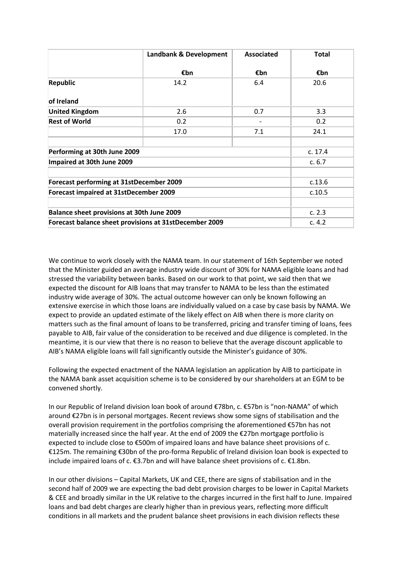|                                                        | Landbank & Development | <b>Associated</b> | <b>Total</b> |
|--------------------------------------------------------|------------------------|-------------------|--------------|
|                                                        | €bn                    | €bn               | €bn          |
| <b>Republic</b>                                        | 14.2                   | 6.4               | 20.6         |
| of Ireland                                             |                        |                   |              |
| <b>United Kingdom</b>                                  | 2.6                    | 0.7               | 3.3          |
| <b>Rest of World</b>                                   | 0.2                    |                   | 0.2          |
|                                                        | 17.0                   | 7.1               | 24.1         |
|                                                        |                        |                   |              |
| Performing at 30th June 2009                           |                        |                   | c. 17.4      |
| Impaired at 30th June 2009                             |                        |                   | c.6.7        |
|                                                        |                        |                   |              |
| Forecast performing at 31stDecember 2009               |                        |                   | c.13.6       |
| Forecast impaired at 31stDecember 2009                 |                        |                   | c.10.5       |
|                                                        |                        |                   |              |
| <b>Balance sheet provisions at 30th June 2009</b>      |                        |                   | c. 2.3       |
| Forecast balance sheet provisions at 31stDecember 2009 |                        |                   | c. 4.2       |

We continue to work closely with the NAMA team. In our statement of 16th September we noted that the Minister guided an average industry wide discount of 30% for NAMA eligible loans and had stressed the variability between banks. Based on our work to that point, we said then that we expected the discount for AIB loans that may transfer to NAMA to be less than the estimated industry wide average of 30%. The actual outcome however can only be known following an extensive exercise in which those loans are individually valued on a case by case basis by NAMA. We expect to provide an updated estimate of the likely effect on AIB when there is more clarity on matters such as the final amount of loans to be transferred, pricing and transfer timing of loans, fees payable to AIB, fair value of the consideration to be received and due diligence is completed. In the meantime, it is our view that there is no reason to believe that the average discount applicable to AIB's NAMA eligible loans will fall significantly outside the Minister's guidance of 30%.

Following the expected enactment of the NAMA legislation an application by AIB to participate in the NAMA bank asset acquisition scheme is to be considered by our shareholders at an EGM to be convened shortly.

In our Republic of Ireland division loan book of around €78bn, c. €57bn is "non-NAMA" of which around €27bn is in personal mortgages. Recent reviews show some signs of stabilisation and the overall provision requirement in the portfolios comprising the aforementioned €57bn has not materially increased since the half year. At the end of 2009 the  $\epsilon$ 27bn mortgage portfolio is expected to include close to €500m of impaired loans and have balance sheet provisions of c. €125m. The remaining €30bn of the pro-forma Republic of Ireland division loan book is expected to include impaired loans of c. €3.7bn and will have balance sheet provisions of c. €1.8bn.

In our other divisions – Capital Markets, UK and CEE, there are signs of stabilisation and in the second half of 2009 we are expecting the bad debt provision charges to be lower in Capital Markets & CEE and broadly similar in the UK relative to the charges incurred in the first half to June. Impaired loans and bad debt charges are clearly higher than in previous years, reflecting more difficult conditions in all markets and the prudent balance sheet provisions in each division reflects these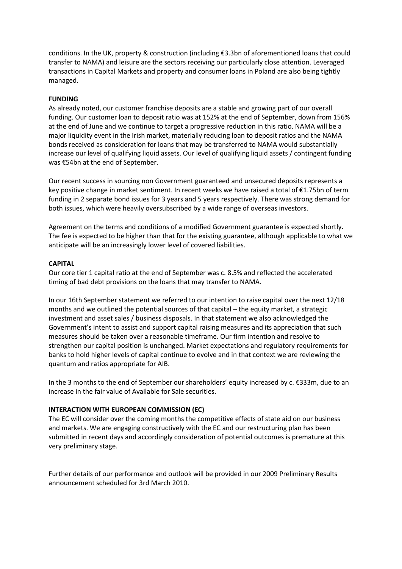conditions. In the UK, property & construction (including €3.3bn of aforementioned loans that could transfer to NAMA) and leisure are the sectors receiving our particularly close attention. Leveraged transactions in Capital Markets and property and consumer loans in Poland are also being tightly managed.

## **FUNDING**

As already noted, our customer franchise deposits are a stable and growing part of our overall funding. Our customer loan to deposit ratio was at 152% at the end of September, down from 156% at the end of June and we continue to target a progressive reduction in this ratio. NAMA will be a major liquidity event in the Irish market, materially reducing loan to deposit ratios and the NAMA bonds received as consideration for loans that may be transferred to NAMA would substantially increase our level of qualifying liquid assets. Our level of qualifying liquid assets / contingent funding was €54bn at the end of September.

Our recent success in sourcing non Government guaranteed and unsecured deposits represents a key positive change in market sentiment. In recent weeks we have raised a total of €1.75bn of term funding in 2 separate bond issues for 3 years and 5 years respectively. There was strong demand for both issues, which were heavily oversubscribed by a wide range of overseas investors.

Agreement on the terms and conditions of a modified Government guarantee is expected shortly. The fee is expected to be higher than that for the existing guarantee, although applicable to what we anticipate will be an increasingly lower level of covered liabilities.

#### **CAPITAL**

Our core tier 1 capital ratio at the end of September was c. 8.5% and reflected the accelerated timing of bad debt provisions on the loans that may transfer to NAMA.

In our 16th September statement we referred to our intention to raise capital over the next 12/18 months and we outlined the potential sources of that capital – the equity market, a strategic investment and asset sales / business disposals. In that statement we also acknowledged the Government's intent to assist and support capital raising measures and its appreciation that such measures should be taken over a reasonable timeframe. Our firm intention and resolve to strengthen our capital position is unchanged. Market expectations and regulatory requirements for banks to hold higher levels of capital continue to evolve and in that context we are reviewing the quantum and ratios appropriate for AIB.

In the 3 months to the end of September our shareholders' equity increased by c. €333m, due to an increase in the fair value of Available for Sale securities.

#### **INTERACTION WITH EUROPEAN COMMISSION (EC)**

The EC will consider over the coming months the competitive effects of state aid on our business and markets. We are engaging constructively with the EC and our restructuring plan has been submitted in recent days and accordingly consideration of potential outcomes is premature at this very preliminary stage.

Further details of our performance and outlook will be provided in our 2009 Preliminary Results announcement scheduled for 3rd March 2010.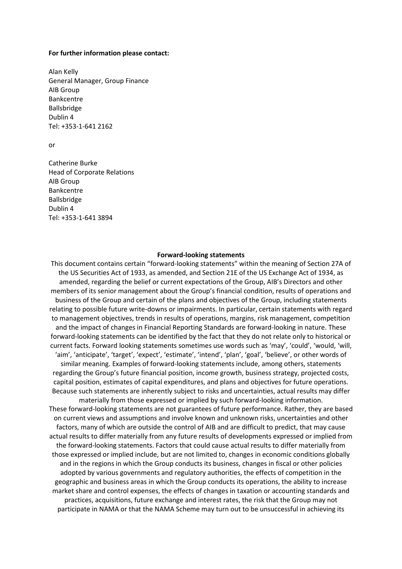#### **For further information please contact:**

Alan Kelly General Manager, Group Finance AIB Group Bankcentre Ballsbridge Dublin 4 Tel: +353-1-641 2162

or

Catherine Burke Head of Corporate Relations AIB Group Bankcentre Ballsbridge Dublin 4 Tel: +353-1-641 3894

#### **Forward-looking statements**

This document contains certain "forward-looking statements" within the meaning of Section 27A of the US Securities Act of 1933, as amended, and Section 21E of the US Exchange Act of 1934, as amended, regarding the belief or current expectations of the Group, AIB's Directors and other members of its senior management about the Group's financial condition, results of operations and business of the Group and certain of the plans and objectives of the Group, including statements relating to possible future write-downs or impairments. In particular, certain statements with regard to management objectives, trends in results of operations, margins, risk management, competition and the impact of changes in Financial Reporting Standards are forward-looking in nature. These forward-looking statements can be identified by the fact that they do not relate only to historical or current facts. Forward looking statements sometimes use words such as 'may', 'could', 'would, 'will, 'aim', 'anticipate', 'target', 'expect', 'estimate', 'intend', 'plan', 'goal', 'believe', or other words of similar meaning. Examples of forward-looking statements include, among others, statements regarding the Group's future financial position, income growth, business strategy, projected costs, capital position, estimates of capital expenditures, and plans and objectives for future operations. Because such statements are inherently subject to risks and uncertainties, actual results may differ materially from those expressed or implied by such forward-looking information. These forward-looking statements are not guarantees of future performance. Rather, they are based on current views and assumptions and involve known and unknown risks, uncertainties and other factors, many of which are outside the control of AIB and are difficult to predict, that may cause actual results to differ materially from any future results of developments expressed or implied from the forward-looking statements. Factors that could cause actual results to differ materially from those expressed or implied include, but are not limited to, changes in economic conditions globally and in the regions in which the Group conducts its business, changes in fiscal or other policies adopted by various governments and regulatory authorities, the effects of competition in the geographic and business areas in which the Group conducts its operations, the ability to increase market share and control expenses, the effects of changes in taxation or accounting standards and practices, acquisitions, future exchange and interest rates, the risk that the Group may not participate in NAMA or that the NAMA Scheme may turn out to be unsuccessful in achieving its